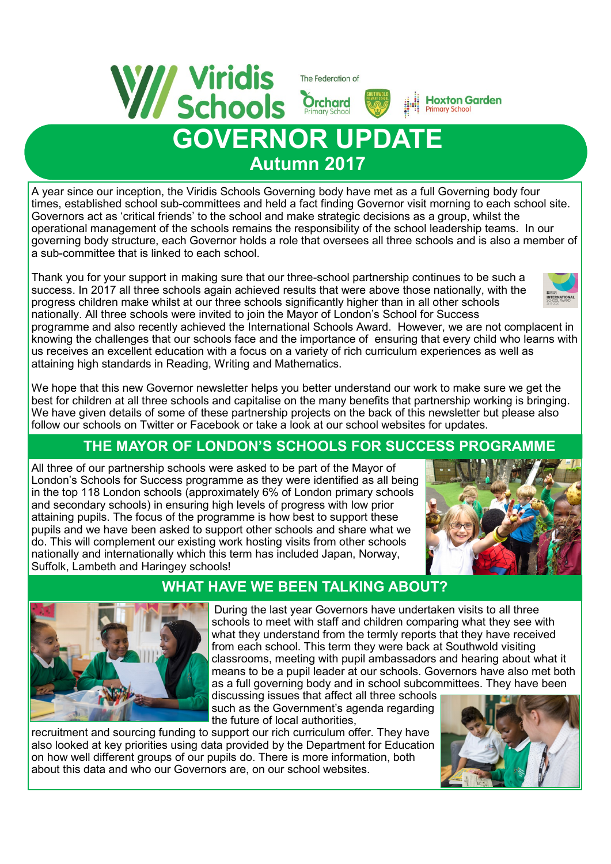

## **GOVERNOR UPDATE Autumn 2017**

A year since our inception, the Viridis Schools Governing body have met as a full Governing body four times, established school sub-committees and held a fact finding Governor visit morning to each school site. Governors act as 'critical friends' to the school and make strategic decisions as a group, whilst the operational management of the schools remains the responsibility of the school leadership teams. In our governing body structure, each Governor holds a role that oversees all three schools and is also a member of a sub-committee that is linked to each school.

Thank you for your support in making sure that our three-school partnership continues to be such a success. In 2017 all three schools again achieved results that were above those nationally, with the progress children make whilst at our three schools significantly higher than in all other schools nationally. All three schools were invited to join the Mayor of London's School for Success



programme and also recently achieved the International Schools Award. However, we are not complacent in knowing the challenges that our schools face and the importance of ensuring that every child who learns with us receives an excellent education with a focus on a variety of rich curriculum experiences as well as attaining high standards in Reading, Writing and Mathematics.

We hope that this new Governor newsletter helps you better understand our work to make sure we get the best for children at all three schools and capitalise on the many benefits that partnership working is bringing. We have given details of some of these partnership projects on the back of this newsletter but please also follow our schools on Twitter or Facebook or take a look at our school websites for updates.

## **THE MAYOR OF LONDON'S SCHOOLS FOR SUCCESS PROGRAMME**

All three of our partnership schools were asked to be part of the Mayor of London's Schools for Success programme as they were identified as all being in the top 118 London schools (approximately 6% of London primary schools and secondary schools) in ensuring high levels of progress with low prior attaining pupils. The focus of the programme is how best to support these pupils and we have been asked to support other schools and share what we do. This will complement our existing work hosting visits from other schools nationally and internationally which this term has included Japan, Norway, Suffolk, Lambeth and Haringey schools!



**Hoxton Garden Primary School** 

## **WHAT HAVE WE BEEN TALKING ABOUT?**



During the last year Governors have undertaken visits to all three schools to meet with staff and children comparing what they see with what they understand from the termly reports that they have received from each school. This term they were back at Southwold visiting classrooms, meeting with pupil ambassadors and hearing about what it means to be a pupil leader at our schools. Governors have also met both as a full governing body and in school subcommittees. They have been

discussing issues that affect all three schools such as the Government's agenda regarding the future of local authorities,

recruitment and sourcing funding to support our rich curriculum offer. They have also looked at key priorities using data provided by the Department for Education on how well different groups of our pupils do. There is more information, both about this data and who our Governors are, on our school websites.